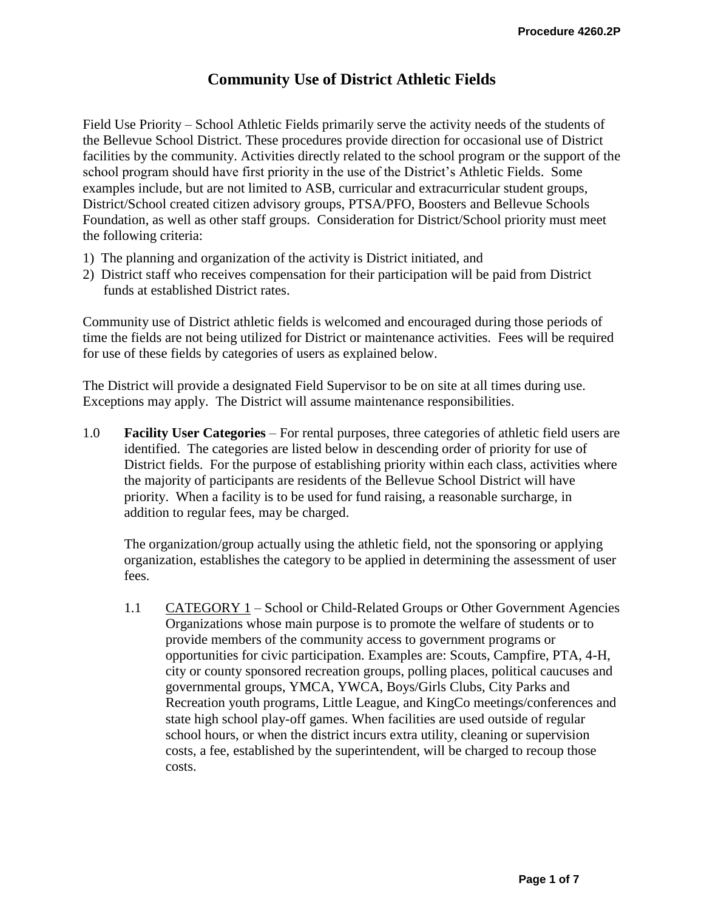# **Community Use of District Athletic Fields**

Field Use Priority – School Athletic Fields primarily serve the activity needs of the students of the Bellevue School District. These procedures provide direction for occasional use of District facilities by the community. Activities directly related to the school program or the support of the school program should have first priority in the use of the District's Athletic Fields. Some examples include, but are not limited to ASB, curricular and extracurricular student groups, District/School created citizen advisory groups, PTSA/PFO, Boosters and Bellevue Schools Foundation, as well as other staff groups. Consideration for District/School priority must meet the following criteria:

- 1) The planning and organization of the activity is District initiated, and
- 2) District staff who receives compensation for their participation will be paid from District funds at established District rates.

Community use of District athletic fields is welcomed and encouraged during those periods of time the fields are not being utilized for District or maintenance activities. Fees will be required for use of these fields by categories of users as explained below.

The District will provide a designated Field Supervisor to be on site at all times during use. Exceptions may apply. The District will assume maintenance responsibilities.

1.0 **Facility User Categories** – For rental purposes, three categories of athletic field users are identified. The categories are listed below in descending order of priority for use of District fields. For the purpose of establishing priority within each class, activities where the majority of participants are residents of the Bellevue School District will have priority. When a facility is to be used for fund raising, a reasonable surcharge, in addition to regular fees, may be charged.

The organization/group actually using the athletic field, not the sponsoring or applying organization, establishes the category to be applied in determining the assessment of user fees.

1.1 CATEGORY 1 – School or Child-Related Groups or Other Government Agencies Organizations whose main purpose is to promote the welfare of students or to provide members of the community access to government programs or opportunities for civic participation. Examples are: Scouts, Campfire, PTA, 4-H, city or county sponsored recreation groups, polling places, political caucuses and governmental groups, YMCA, YWCA, Boys/Girls Clubs, City Parks and Recreation youth programs, Little League, and KingCo meetings/conferences and state high school play-off games. When facilities are used outside of regular school hours, or when the district incurs extra utility, cleaning or supervision costs, a fee, established by the superintendent, will be charged to recoup those costs.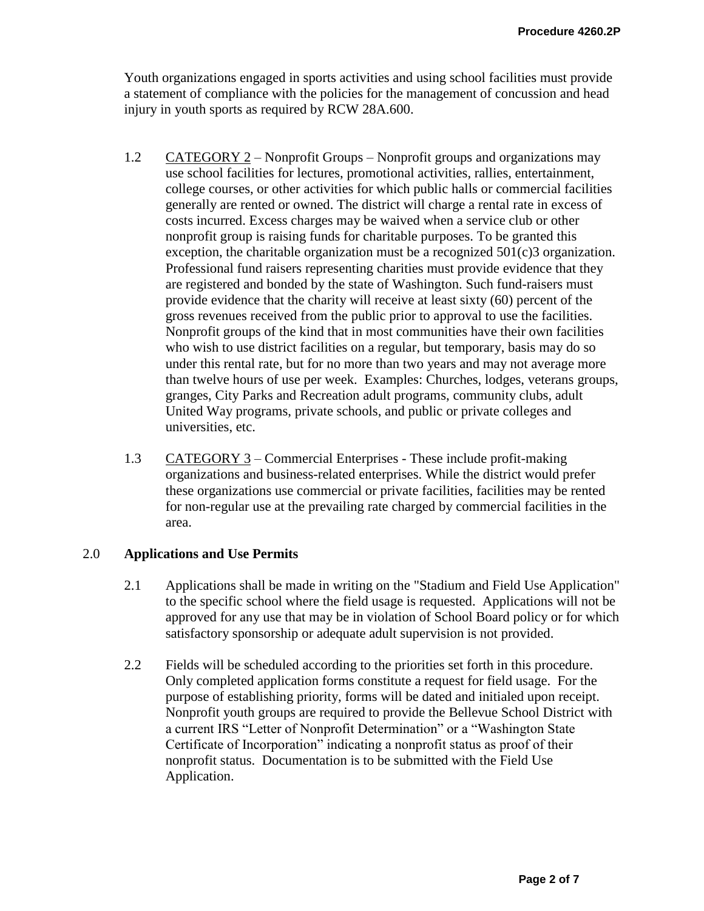Youth organizations engaged in sports activities and using school facilities must provide a statement of compliance with the policies for the management of concussion and head injury in youth sports as required by RCW 28A.600.

- 1.2 CATEGORY 2 Nonprofit Groups Nonprofit groups and organizations may use school facilities for lectures, promotional activities, rallies, entertainment, college courses, or other activities for which public halls or commercial facilities generally are rented or owned. The district will charge a rental rate in excess of costs incurred. Excess charges may be waived when a service club or other nonprofit group is raising funds for charitable purposes. To be granted this exception, the charitable organization must be a recognized  $501(c)3$  organization. Professional fund raisers representing charities must provide evidence that they are registered and bonded by the state of Washington. Such fund-raisers must provide evidence that the charity will receive at least sixty (60) percent of the gross revenues received from the public prior to approval to use the facilities. Nonprofit groups of the kind that in most communities have their own facilities who wish to use district facilities on a regular, but temporary, basis may do so under this rental rate, but for no more than two years and may not average more than twelve hours of use per week. Examples: Churches, lodges, veterans groups, granges, City Parks and Recreation adult programs, community clubs, adult United Way programs, private schools, and public or private colleges and universities, etc.
- 1.3 CATEGORY 3 Commercial Enterprises These include profit-making organizations and business-related enterprises. While the district would prefer these organizations use commercial or private facilities, facilities may be rented for non-regular use at the prevailing rate charged by commercial facilities in the area.

## 2.0 **Applications and Use Permits**

- 2.1 Applications shall be made in writing on the "Stadium and Field Use Application" to the specific school where the field usage is requested. Applications will not be approved for any use that may be in violation of School Board policy or for which satisfactory sponsorship or adequate adult supervision is not provided.
- 2.2 Fields will be scheduled according to the priorities set forth in this procedure. Only completed application forms constitute a request for field usage. For the purpose of establishing priority, forms will be dated and initialed upon receipt. Nonprofit youth groups are required to provide the Bellevue School District with a current IRS "Letter of Nonprofit Determination" or a "Washington State Certificate of Incorporation" indicating a nonprofit status as proof of their nonprofit status. Documentation is to be submitted with the Field Use Application.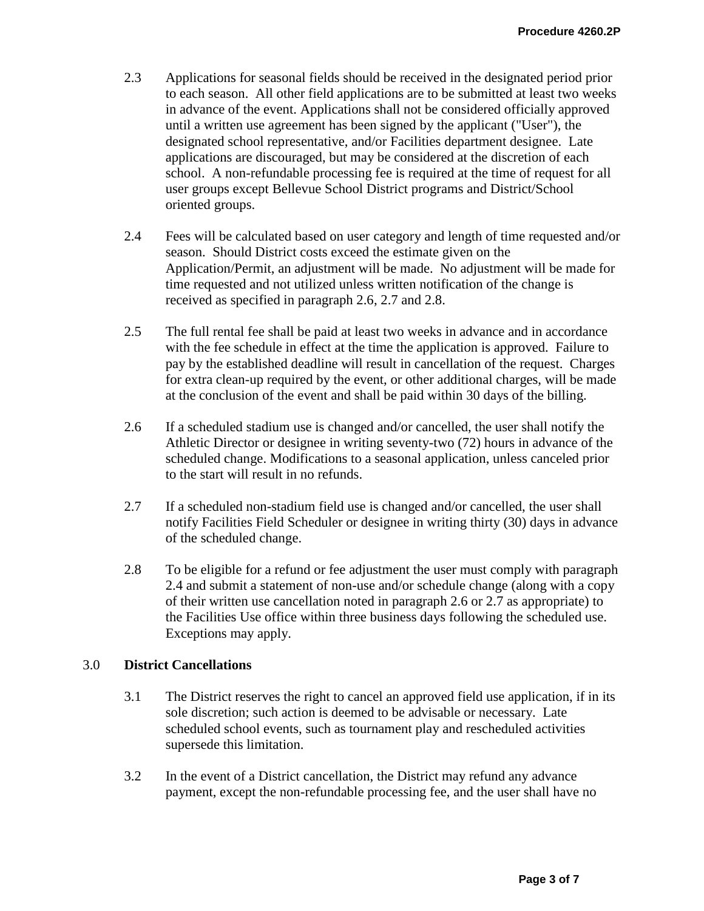- 2.3 Applications for seasonal fields should be received in the designated period prior to each season. All other field applications are to be submitted at least two weeks in advance of the event. Applications shall not be considered officially approved until a written use agreement has been signed by the applicant ("User"), the designated school representative, and/or Facilities department designee. Late applications are discouraged, but may be considered at the discretion of each school. A non-refundable processing fee is required at the time of request for all user groups except Bellevue School District programs and District/School oriented groups.
- 2.4 Fees will be calculated based on user category and length of time requested and/or season. Should District costs exceed the estimate given on the Application/Permit, an adjustment will be made. No adjustment will be made for time requested and not utilized unless written notification of the change is received as specified in paragraph 2.6, 2.7 and 2.8.
- 2.5 The full rental fee shall be paid at least two weeks in advance and in accordance with the fee schedule in effect at the time the application is approved. Failure to pay by the established deadline will result in cancellation of the request. Charges for extra clean-up required by the event, or other additional charges, will be made at the conclusion of the event and shall be paid within 30 days of the billing.
- 2.6 If a scheduled stadium use is changed and/or cancelled, the user shall notify the Athletic Director or designee in writing seventy-two (72) hours in advance of the scheduled change. Modifications to a seasonal application, unless canceled prior to the start will result in no refunds.
- 2.7 If a scheduled non-stadium field use is changed and/or cancelled, the user shall notify Facilities Field Scheduler or designee in writing thirty (30) days in advance of the scheduled change.
- 2.8 To be eligible for a refund or fee adjustment the user must comply with paragraph 2.4 and submit a statement of non-use and/or schedule change (along with a copy of their written use cancellation noted in paragraph 2.6 or 2.7 as appropriate) to the Facilities Use office within three business days following the scheduled use. Exceptions may apply.

## 3.0 **District Cancellations**

- 3.1 The District reserves the right to cancel an approved field use application, if in its sole discretion; such action is deemed to be advisable or necessary. Late scheduled school events, such as tournament play and rescheduled activities supersede this limitation.
- 3.2 In the event of a District cancellation, the District may refund any advance payment, except the non-refundable processing fee, and the user shall have no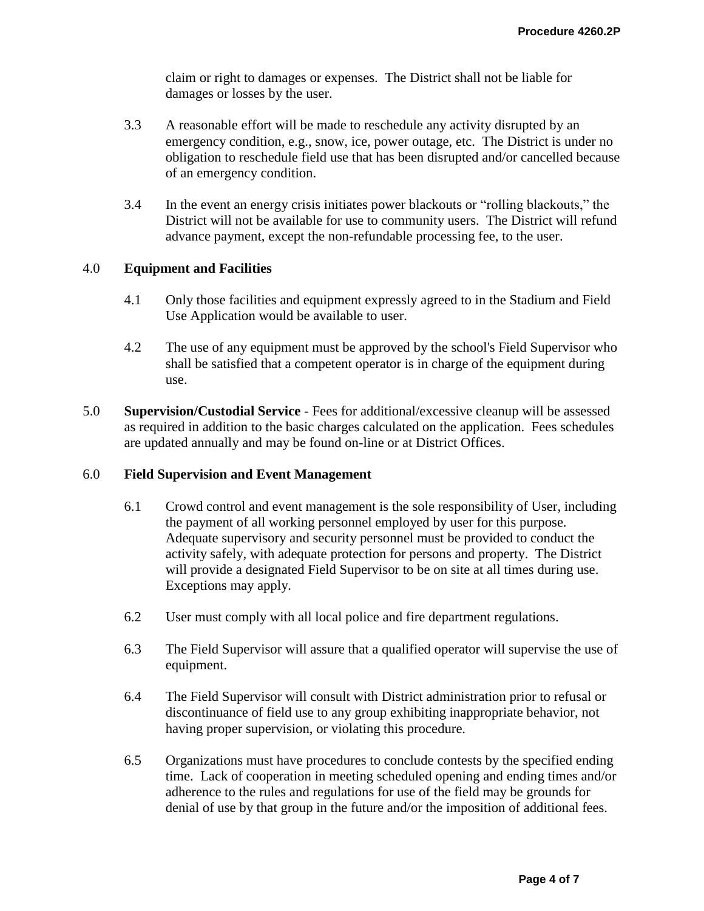claim or right to damages or expenses. The District shall not be liable for damages or losses by the user.

- 3.3 A reasonable effort will be made to reschedule any activity disrupted by an emergency condition, e.g., snow, ice, power outage, etc. The District is under no obligation to reschedule field use that has been disrupted and/or cancelled because of an emergency condition.
- 3.4 In the event an energy crisis initiates power blackouts or "rolling blackouts," the District will not be available for use to community users. The District will refund advance payment, except the non-refundable processing fee, to the user.

#### 4.0 **Equipment and Facilities**

- 4.1 Only those facilities and equipment expressly agreed to in the Stadium and Field Use Application would be available to user.
- 4.2 The use of any equipment must be approved by the school's Field Supervisor who shall be satisfied that a competent operator is in charge of the equipment during use.
- 5.0 **Supervision/Custodial Service** Fees for additional/excessive cleanup will be assessed as required in addition to the basic charges calculated on the application. Fees schedules are updated annually and may be found on-line or at District Offices.

## 6.0 **Field Supervision and Event Management**

- 6.1 Crowd control and event management is the sole responsibility of User, including the payment of all working personnel employed by user for this purpose. Adequate supervisory and security personnel must be provided to conduct the activity safely, with adequate protection for persons and property. The District will provide a designated Field Supervisor to be on site at all times during use. Exceptions may apply.
- 6.2 User must comply with all local police and fire department regulations.
- 6.3 The Field Supervisor will assure that a qualified operator will supervise the use of equipment.
- 6.4 The Field Supervisor will consult with District administration prior to refusal or discontinuance of field use to any group exhibiting inappropriate behavior, not having proper supervision, or violating this procedure.
- 6.5 Organizations must have procedures to conclude contests by the specified ending time. Lack of cooperation in meeting scheduled opening and ending times and/or adherence to the rules and regulations for use of the field may be grounds for denial of use by that group in the future and/or the imposition of additional fees.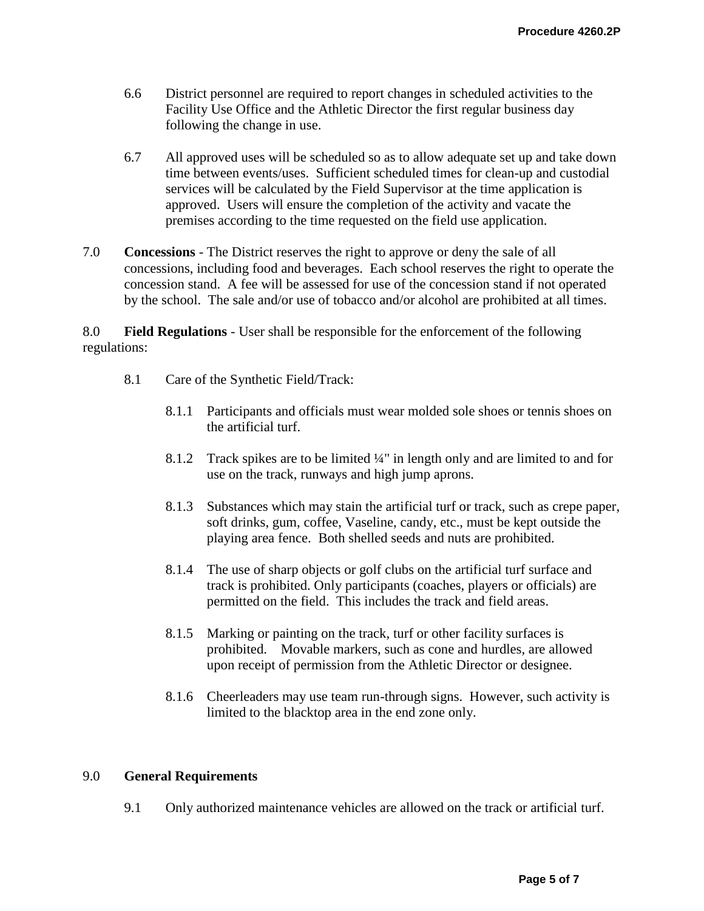- 6.6 District personnel are required to report changes in scheduled activities to the Facility Use Office and the Athletic Director the first regular business day following the change in use.
- 6.7 All approved uses will be scheduled so as to allow adequate set up and take down time between events/uses. Sufficient scheduled times for clean-up and custodial services will be calculated by the Field Supervisor at the time application is approved. Users will ensure the completion of the activity and vacate the premises according to the time requested on the field use application.
- 7.0 **Concessions** The District reserves the right to approve or deny the sale of all concessions, including food and beverages. Each school reserves the right to operate the concession stand. A fee will be assessed for use of the concession stand if not operated by the school. The sale and/or use of tobacco and/or alcohol are prohibited at all times.

8.0 **Field Regulations** - User shall be responsible for the enforcement of the following regulations:

- 8.1 Care of the Synthetic Field/Track:
	- 8.1.1 Participants and officials must wear molded sole shoes or tennis shoes on the artificial turf.
	- 8.1.2 Track spikes are to be limited ¼" in length only and are limited to and for use on the track, runways and high jump aprons.
	- 8.1.3 Substances which may stain the artificial turf or track, such as crepe paper, soft drinks, gum, coffee, Vaseline, candy, etc., must be kept outside the playing area fence. Both shelled seeds and nuts are prohibited.
	- 8.1.4 The use of sharp objects or golf clubs on the artificial turf surface and track is prohibited. Only participants (coaches, players or officials) are permitted on the field. This includes the track and field areas.
	- 8.1.5 Marking or painting on the track, turf or other facility surfaces is prohibited. Movable markers, such as cone and hurdles, are allowed upon receipt of permission from the Athletic Director or designee.
	- 8.1.6 Cheerleaders may use team run-through signs. However, such activity is limited to the blacktop area in the end zone only.

#### 9.0 **General Requirements**

9.1 Only authorized maintenance vehicles are allowed on the track or artificial turf.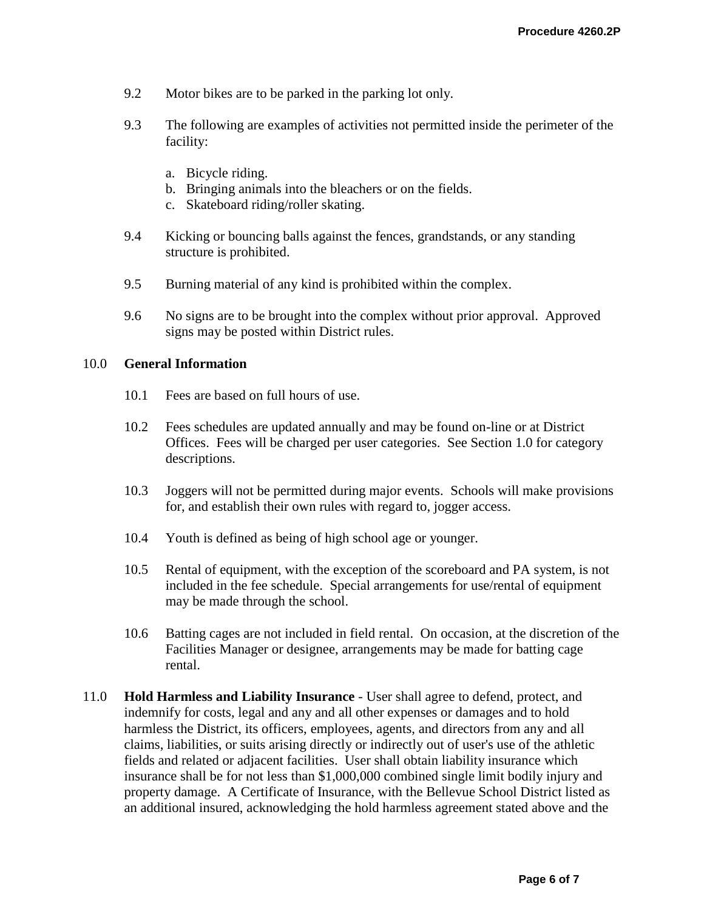- 9.2 Motor bikes are to be parked in the parking lot only.
- 9.3 The following are examples of activities not permitted inside the perimeter of the facility:
	- a. Bicycle riding.
	- b. Bringing animals into the bleachers or on the fields.
	- c. Skateboard riding/roller skating.
- 9.4 Kicking or bouncing balls against the fences, grandstands, or any standing structure is prohibited.
- 9.5 Burning material of any kind is prohibited within the complex.
- 9.6 No signs are to be brought into the complex without prior approval. Approved signs may be posted within District rules.

### 10.0 **General Information**

- 10.1 Fees are based on full hours of use.
- 10.2 Fees schedules are updated annually and may be found on-line or at District Offices. Fees will be charged per user categories. See Section 1.0 for category descriptions.
- 10.3 Joggers will not be permitted during major events. Schools will make provisions for, and establish their own rules with regard to, jogger access.
- 10.4 Youth is defined as being of high school age or younger.
- 10.5 Rental of equipment, with the exception of the scoreboard and PA system, is not included in the fee schedule. Special arrangements for use/rental of equipment may be made through the school.
- 10.6 Batting cages are not included in field rental. On occasion, at the discretion of the Facilities Manager or designee, arrangements may be made for batting cage rental.
- 11.0 **Hold Harmless and Liability Insurance** User shall agree to defend, protect, and indemnify for costs, legal and any and all other expenses or damages and to hold harmless the District, its officers, employees, agents, and directors from any and all claims, liabilities, or suits arising directly or indirectly out of user's use of the athletic fields and related or adjacent facilities. User shall obtain liability insurance which insurance shall be for not less than \$1,000,000 combined single limit bodily injury and property damage. A Certificate of Insurance, with the Bellevue School District listed as an additional insured, acknowledging the hold harmless agreement stated above and the